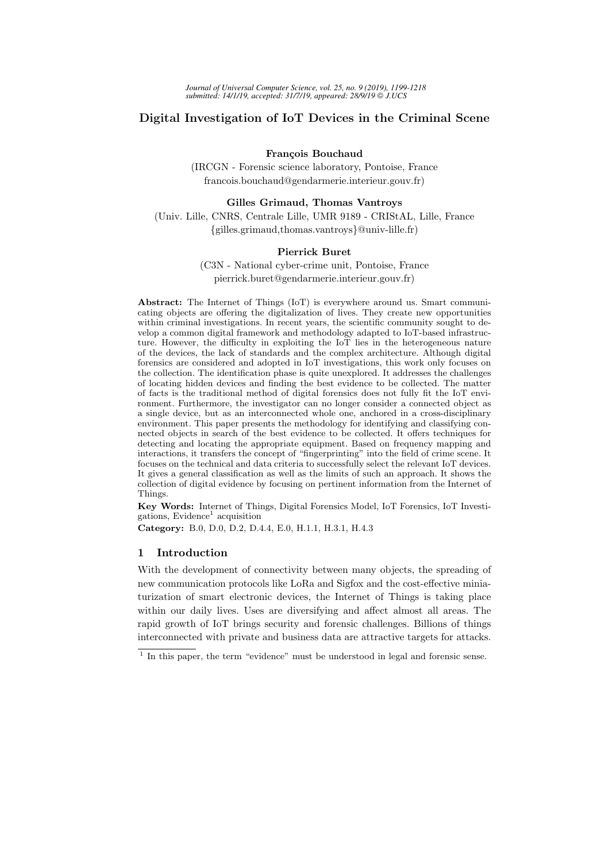# Digital Investigation of IoT Devices in the Criminal Scene

#### François Bouchaud

(IRCGN - Forensic science laboratory, Pontoise, France francois.bouchaud@gendarmerie.interieur.gouv.fr)

#### Gilles Grimaud, Thomas Vantroys

(Univ. Lille, CNRS, Centrale Lille, UMR 9189 - CRIStAL, Lille, France {gilles.grimaud,thomas.vantroys}@univ-lille.fr)

#### Pierrick Buret

(C3N - National cyber-crime unit, Pontoise, France pierrick.buret@gendarmerie.interieur.gouv.fr)

Abstract: The Internet of Things (IoT) is everywhere around us. Smart communicating objects are offering the digitalization of lives. They create new opportunities within criminal investigations. In recent years, the scientific community sought to develop a common digital framework and methodology adapted to IoT-based infrastructure. However, the difficulty in exploiting the  $I\circ\widetilde{T}$  lies in the heterogeneous nature of the devices, the lack of standards and the complex architecture. Although digital forensics are considered and adopted in IoT investigations, this work only focuses on the collection. The identification phase is quite unexplored. It addresses the challenges of locating hidden devices and finding the best evidence to be collected. The matter of facts is the traditional method of digital forensics does not fully fit the IoT environment. Furthermore, the investigator can no longer consider a connected object as a single device, but as an interconnected whole one, anchored in a cross-disciplinary environment. This paper presents the methodology for identifying and classifying connected objects in search of the best evidence to be collected. It offers techniques for detecting and locating the appropriate equipment. Based on frequency mapping and interactions, it transfers the concept of "fingerprinting" into the field of crime scene. It focuses on the technical and data criteria to successfully select the relevant IoT devices. It gives a general classification as well as the limits of such an approach. It shows the collection of digital evidence by focusing on pertinent information from the Internet of Things.

Key Words: Internet of Things, Digital Forensics Model, IoT Forensics, IoT Investi- $\frac{1}{2}$  acquisition

Category: B.0, D.0, D.2, D.4.4, E.0, H.1.1, H.3.1, H.4.3

## 1 Introduction

With the development of connectivity between many objects, the spreading of new communication protocols like LoRa and Sigfox and the cost-effective miniaturization of smart electronic devices, the Internet of Things is taking place within our daily lives. Uses are diversifying and affect almost all areas. The rapid growth of IoT brings security and forensic challenges. Billions of things interconnected with private and business data are attractive targets for attacks.

<sup>&</sup>lt;sup>1</sup> In this paper, the term "evidence" must be understood in legal and forensic sense.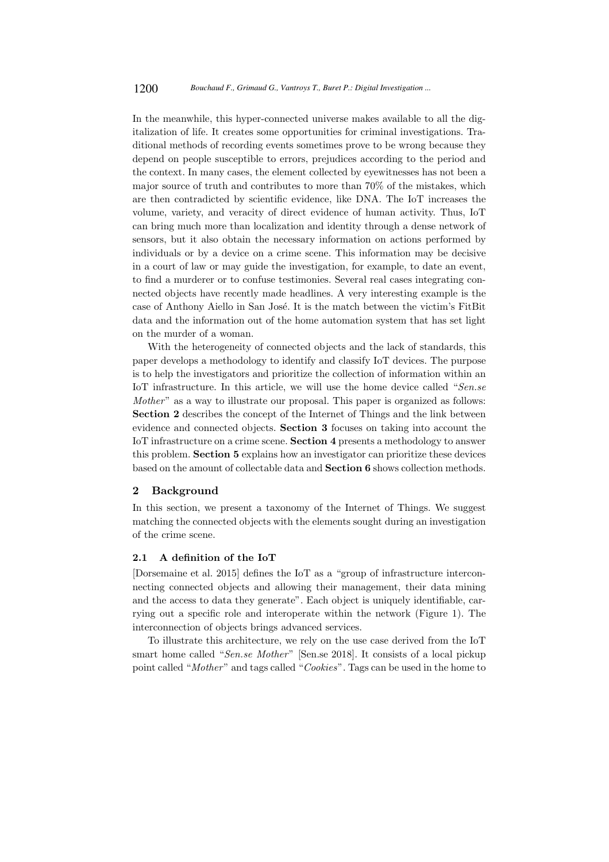In the meanwhile, this hyper-connected universe makes available to all the digitalization of life. It creates some opportunities for criminal investigations. Traditional methods of recording events sometimes prove to be wrong because they depend on people susceptible to errors, prejudices according to the period and the context. In many cases, the element collected by eyewitnesses has not been a major source of truth and contributes to more than 70% of the mistakes, which are then contradicted by scientific evidence, like DNA. The IoT increases the volume, variety, and veracity of direct evidence of human activity. Thus, IoT can bring much more than localization and identity through a dense network of sensors, but it also obtain the necessary information on actions performed by individuals or by a device on a crime scene. This information may be decisive in a court of law or may guide the investigation, for example, to date an event, to find a murderer or to confuse testimonies. Several real cases integrating connected objects have recently made headlines. A very interesting example is the case of Anthony Aiello in San José. It is the match between the victim's FitBit data and the information out of the home automation system that has set light on the murder of a woman.

With the heterogeneity of connected objects and the lack of standards, this paper develops a methodology to identify and classify IoT devices. The purpose is to help the investigators and prioritize the collection of information within an IoT infrastructure. In this article, we will use the home device called "Sen.se" Mother" as a way to illustrate our proposal. This paper is organized as follows: Section 2 describes the concept of the Internet of Things and the link between evidence and connected objects. Section 3 focuses on taking into account the IoT infrastructure on a crime scene. Section 4 presents a methodology to answer this problem. Section 5 explains how an investigator can prioritize these devices based on the amount of collectable data and Section 6 shows collection methods.

### 2 Background

In this section, we present a taxonomy of the Internet of Things. We suggest matching the connected objects with the elements sought during an investigation of the crime scene.

## 2.1 A definition of the IoT

[Dorsemaine et al. 2015] defines the IoT as a "group of infrastructure interconnecting connected objects and allowing their management, their data mining and the access to data they generate". Each object is uniquely identifiable, carrying out a specific role and interoperate within the network (Figure 1). The interconnection of objects brings advanced services.

To illustrate this architecture, we rely on the use case derived from the IoT smart home called "Sen.se Mother" [Sen.se 2018]. It consists of a local pickup point called "Mother" and tags called "Cookies". Tags can be used in the home to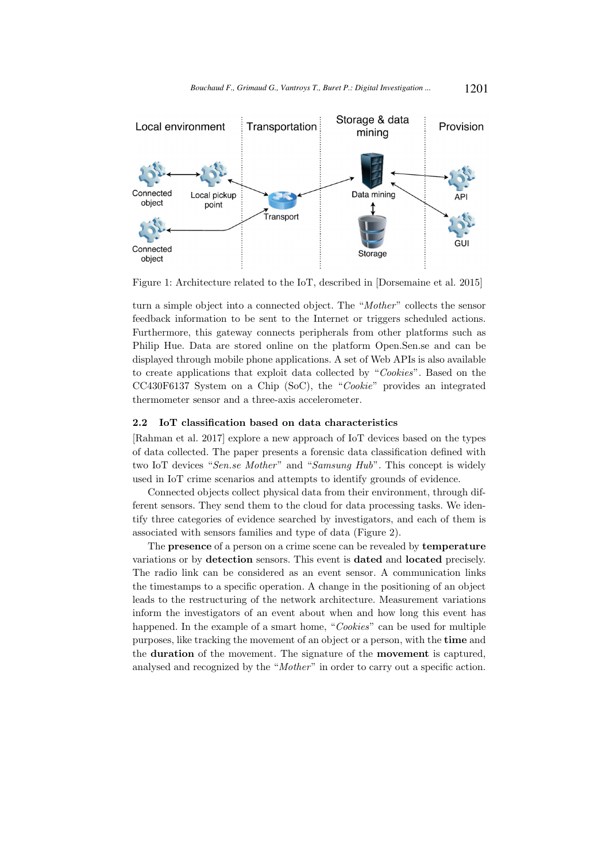

Figure 1: Architecture related to the IoT, described in [Dorsemaine et al. 2015]

turn a simple object into a connected object. The "Mother" collects the sensor feedback information to be sent to the Internet or triggers scheduled actions. Furthermore, this gateway connects peripherals from other platforms such as Philip Hue. Data are stored online on the platform Open.Sen.se and can be displayed through mobile phone applications. A set of Web APIs is also available to create applications that exploit data collected by "Cookies". Based on the CC430F6137 System on a Chip (SoC), the "Cookie" provides an integrated thermometer sensor and a three-axis accelerometer.

#### 2.2 IoT classification based on data characteristics

[Rahman et al. 2017] explore a new approach of IoT devices based on the types of data collected. The paper presents a forensic data classification defined with two IoT devices "Sen.se Mother" and "Samsung Hub". This concept is widely used in IoT crime scenarios and attempts to identify grounds of evidence.

Connected objects collect physical data from their environment, through different sensors. They send them to the cloud for data processing tasks. We identify three categories of evidence searched by investigators, and each of them is associated with sensors families and type of data (Figure 2).

The presence of a person on a crime scene can be revealed by temperature variations or by detection sensors. This event is dated and located precisely. The radio link can be considered as an event sensor. A communication links the timestamps to a specific operation. A change in the positioning of an object leads to the restructuring of the network architecture. Measurement variations inform the investigators of an event about when and how long this event has happened. In the example of a smart home, "Cookies" can be used for multiple purposes, like tracking the movement of an object or a person, with the time and the duration of the movement. The signature of the movement is captured, analysed and recognized by the "Mother" in order to carry out a specific action.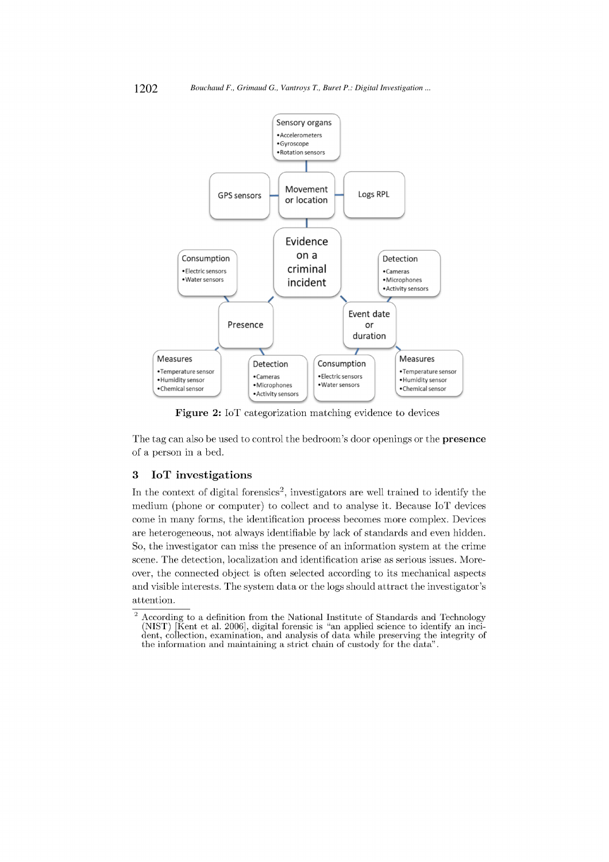

Figure 2: IoT categorization matching evidence to devices

The tag can also be used to control the bedroom's door openings or the presence of a person in a bed.

#### 3 IoT investigations

In the context of digital forensics<sup>2</sup>, investigators are well trained to identify the medium (phone or computer) to collect and to analyse it. Because IoT devices come in many forms, the identification process becomes more complex. Devices are heterogeneous, not always identifiable by lack of standards and even hidden. So, the investigator can miss the presence of an information system at the crime scene. The detection, localization and identification arise as serious issues. Moreover, the connected object is often selected according to its mechanical aspects and visible interests. The system data or the logs should attract the investigator's attention.

 $\overline{2}$ According to a definition from the National Institute of Standards and Technology (NIST) [Kent et al. 2006], digital forensic is "an applied science to identify an incident, collection, examination, and analysis of data while preserving the integrity of the information and maintaining a strict chain of custody for the data".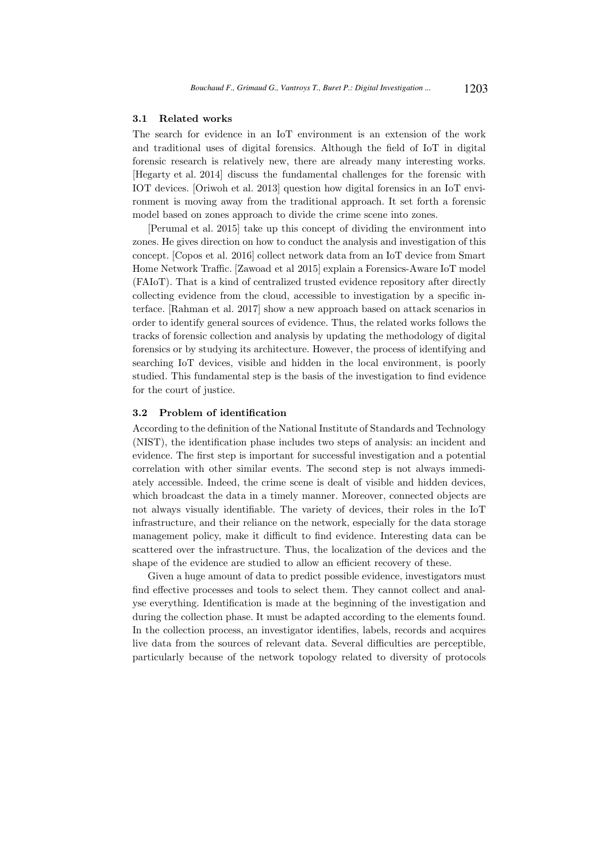#### 3.1 Related works

The search for evidence in an IoT environment is an extension of the work and traditional uses of digital forensics. Although the field of IoT in digital forensic research is relatively new, there are already many interesting works. [Hegarty et al. 2014] discuss the fundamental challenges for the forensic with IOT devices. [Oriwoh et al. 2013] question how digital forensics in an IoT environment is moving away from the traditional approach. It set forth a forensic model based on zones approach to divide the crime scene into zones.

[Perumal et al. 2015] take up this concept of dividing the environment into zones. He gives direction on how to conduct the analysis and investigation of this concept. [Copos et al. 2016] collect network data from an IoT device from Smart Home Network Traffic. [Zawoad et al 2015] explain a Forensics-Aware IoT model (FAIoT). That is a kind of centralized trusted evidence repository after directly collecting evidence from the cloud, accessible to investigation by a specific interface. [Rahman et al. 2017] show a new approach based on attack scenarios in order to identify general sources of evidence. Thus, the related works follows the tracks of forensic collection and analysis by updating the methodology of digital forensics or by studying its architecture. However, the process of identifying and searching IoT devices, visible and hidden in the local environment, is poorly studied. This fundamental step is the basis of the investigation to find evidence for the court of justice.

#### 3.2 Problem of identification

According to the definition of the National Institute of Standards and Technology (NIST), the identification phase includes two steps of analysis: an incident and evidence. The first step is important for successful investigation and a potential correlation with other similar events. The second step is not always immediately accessible. Indeed, the crime scene is dealt of visible and hidden devices, which broadcast the data in a timely manner. Moreover, connected objects are not always visually identifiable. The variety of devices, their roles in the IoT infrastructure, and their reliance on the network, especially for the data storage management policy, make it difficult to find evidence. Interesting data can be scattered over the infrastructure. Thus, the localization of the devices and the shape of the evidence are studied to allow an efficient recovery of these.

Given a huge amount of data to predict possible evidence, investigators must find effective processes and tools to select them. They cannot collect and analyse everything. Identification is made at the beginning of the investigation and during the collection phase. It must be adapted according to the elements found. In the collection process, an investigator identifies, labels, records and acquires live data from the sources of relevant data. Several difficulties are perceptible, particularly because of the network topology related to diversity of protocols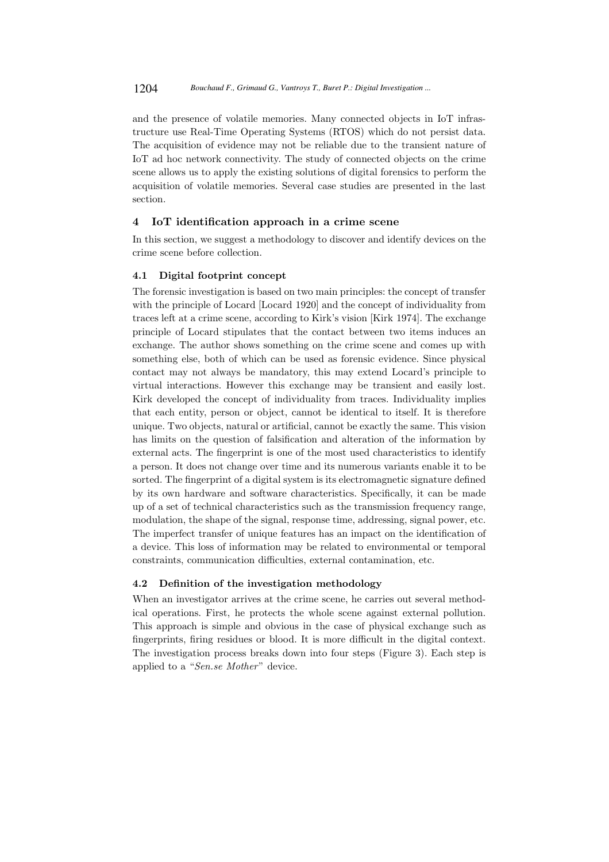and the presence of volatile memories. Many connected objects in IoT infrastructure use Real-Time Operating Systems (RTOS) which do not persist data. The acquisition of evidence may not be reliable due to the transient nature of IoT ad hoc network connectivity. The study of connected objects on the crime scene allows us to apply the existing solutions of digital forensics to perform the acquisition of volatile memories. Several case studies are presented in the last section.

## 4 IoT identification approach in a crime scene

In this section, we suggest a methodology to discover and identify devices on the crime scene before collection.

## 4.1 Digital footprint concept

The forensic investigation is based on two main principles: the concept of transfer with the principle of Locard [Locard 1920] and the concept of individuality from traces left at a crime scene, according to Kirk's vision [Kirk 1974]. The exchange principle of Locard stipulates that the contact between two items induces an exchange. The author shows something on the crime scene and comes up with something else, both of which can be used as forensic evidence. Since physical contact may not always be mandatory, this may extend Locard's principle to virtual interactions. However this exchange may be transient and easily lost. Kirk developed the concept of individuality from traces. Individuality implies that each entity, person or object, cannot be identical to itself. It is therefore unique. Two objects, natural or artificial, cannot be exactly the same. This vision has limits on the question of falsification and alteration of the information by external acts. The fingerprint is one of the most used characteristics to identify a person. It does not change over time and its numerous variants enable it to be sorted. The fingerprint of a digital system is its electromagnetic signature defined by its own hardware and software characteristics. Specifically, it can be made up of a set of technical characteristics such as the transmission frequency range, modulation, the shape of the signal, response time, addressing, signal power, etc. The imperfect transfer of unique features has an impact on the identification of a device. This loss of information may be related to environmental or temporal constraints, communication difficulties, external contamination, etc.

## 4.2 Definition of the investigation methodology

When an investigator arrives at the crime scene, he carries out several methodical operations. First, he protects the whole scene against external pollution. This approach is simple and obvious in the case of physical exchange such as fingerprints, firing residues or blood. It is more difficult in the digital context. The investigation process breaks down into four steps (Figure 3). Each step is applied to a "Sen.se Mother" device.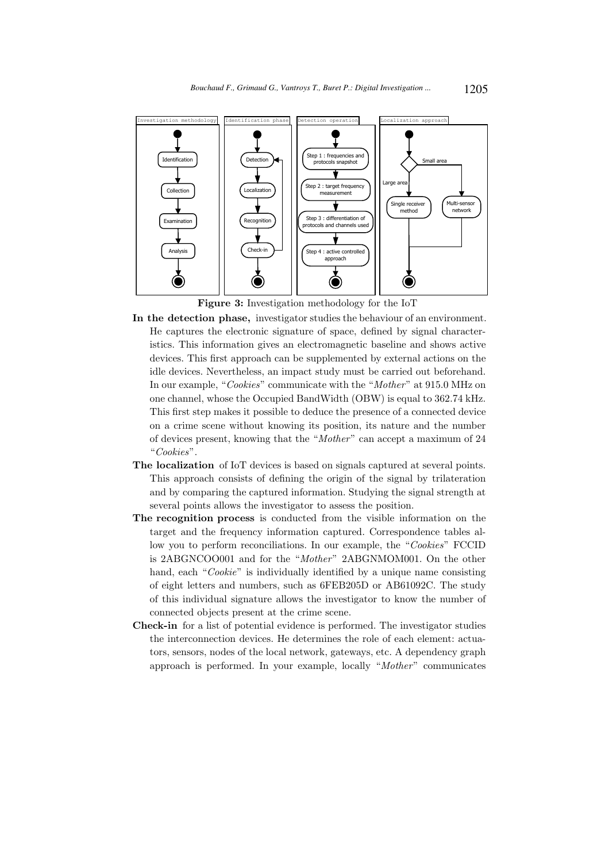

Figure 3: Investigation methodology for the IoT

- In the detection phase, investigator studies the behaviour of an environment. He captures the electronic signature of space, defined by signal characteristics. This information gives an electromagnetic baseline and shows active devices. This first approach can be supplemented by external actions on the idle devices. Nevertheless, an impact study must be carried out beforehand. In our example, "Cookies" communicate with the "Mother" at 915.0 MHz on one channel, whose the Occupied BandWidth (OBW) is equal to 362.74 kHz. This first step makes it possible to deduce the presence of a connected device on a crime scene without knowing its position, its nature and the number of devices present, knowing that the "Mother" can accept a maximum of 24 "Cookies".
- The localization of IoT devices is based on signals captured at several points. This approach consists of defining the origin of the signal by trilateration and by comparing the captured information. Studying the signal strength at several points allows the investigator to assess the position.
- The recognition process is conducted from the visible information on the target and the frequency information captured. Correspondence tables allow you to perform reconciliations. In our example, the "Cookies" FCCID is 2ABGNCOO001 and for the "Mother" 2ABGNMOM001. On the other hand, each "Cookie" is individually identified by a unique name consisting of eight letters and numbers, such as 6FEB205D or AB61092C. The study of this individual signature allows the investigator to know the number of connected objects present at the crime scene.
- Check-in for a list of potential evidence is performed. The investigator studies the interconnection devices. He determines the role of each element: actuators, sensors, nodes of the local network, gateways, etc. A dependency graph approach is performed. In your example, locally "Mother" communicates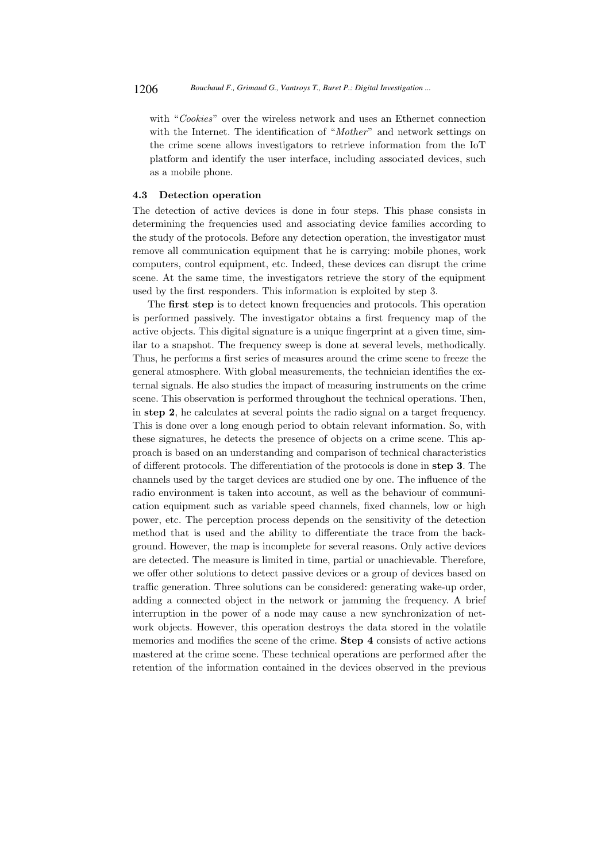with "Cookies" over the wireless network and uses an Ethernet connection with the Internet. The identification of "*Mother*" and network settings on the crime scene allows investigators to retrieve information from the IoT platform and identify the user interface, including associated devices, such as a mobile phone.

#### 4.3 Detection operation

The detection of active devices is done in four steps. This phase consists in determining the frequencies used and associating device families according to the study of the protocols. Before any detection operation, the investigator must remove all communication equipment that he is carrying: mobile phones, work computers, control equipment, etc. Indeed, these devices can disrupt the crime scene. At the same time, the investigators retrieve the story of the equipment used by the first responders. This information is exploited by step 3.

The first step is to detect known frequencies and protocols. This operation is performed passively. The investigator obtains a first frequency map of the active objects. This digital signature is a unique fingerprint at a given time, similar to a snapshot. The frequency sweep is done at several levels, methodically. Thus, he performs a first series of measures around the crime scene to freeze the general atmosphere. With global measurements, the technician identifies the external signals. He also studies the impact of measuring instruments on the crime scene. This observation is performed throughout the technical operations. Then, in step 2, he calculates at several points the radio signal on a target frequency. This is done over a long enough period to obtain relevant information. So, with these signatures, he detects the presence of objects on a crime scene. This approach is based on an understanding and comparison of technical characteristics of different protocols. The differentiation of the protocols is done in step 3. The channels used by the target devices are studied one by one. The influence of the radio environment is taken into account, as well as the behaviour of communication equipment such as variable speed channels, fixed channels, low or high power, etc. The perception process depends on the sensitivity of the detection method that is used and the ability to differentiate the trace from the background. However, the map is incomplete for several reasons. Only active devices are detected. The measure is limited in time, partial or unachievable. Therefore, we offer other solutions to detect passive devices or a group of devices based on traffic generation. Three solutions can be considered: generating wake-up order, adding a connected object in the network or jamming the frequency. A brief interruption in the power of a node may cause a new synchronization of network objects. However, this operation destroys the data stored in the volatile memories and modifies the scene of the crime. Step 4 consists of active actions mastered at the crime scene. These technical operations are performed after the retention of the information contained in the devices observed in the previous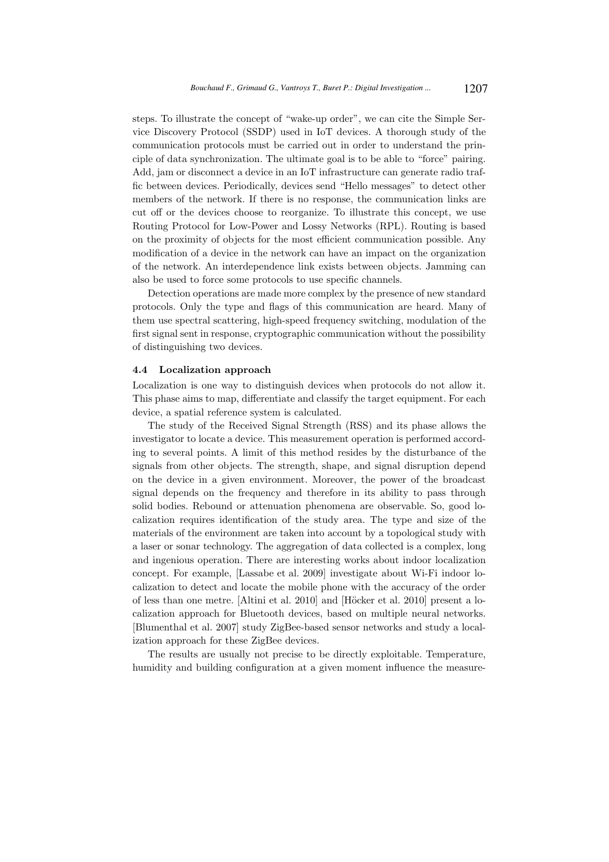steps. To illustrate the concept of "wake-up order", we can cite the Simple Service Discovery Protocol (SSDP) used in IoT devices. A thorough study of the communication protocols must be carried out in order to understand the principle of data synchronization. The ultimate goal is to be able to "force" pairing. Add, jam or disconnect a device in an IoT infrastructure can generate radio traffic between devices. Periodically, devices send "Hello messages" to detect other members of the network. If there is no response, the communication links are cut off or the devices choose to reorganize. To illustrate this concept, we use Routing Protocol for Low-Power and Lossy Networks (RPL). Routing is based on the proximity of objects for the most efficient communication possible. Any modification of a device in the network can have an impact on the organization of the network. An interdependence link exists between objects. Jamming can also be used to force some protocols to use specific channels.

Detection operations are made more complex by the presence of new standard protocols. Only the type and flags of this communication are heard. Many of them use spectral scattering, high-speed frequency switching, modulation of the first signal sent in response, cryptographic communication without the possibility of distinguishing two devices.

#### 4.4 Localization approach

Localization is one way to distinguish devices when protocols do not allow it. This phase aims to map, differentiate and classify the target equipment. For each device, a spatial reference system is calculated.

The study of the Received Signal Strength (RSS) and its phase allows the investigator to locate a device. This measurement operation is performed according to several points. A limit of this method resides by the disturbance of the signals from other objects. The strength, shape, and signal disruption depend on the device in a given environment. Moreover, the power of the broadcast signal depends on the frequency and therefore in its ability to pass through solid bodies. Rebound or attenuation phenomena are observable. So, good localization requires identification of the study area. The type and size of the materials of the environment are taken into account by a topological study with a laser or sonar technology. The aggregation of data collected is a complex, long and ingenious operation. There are interesting works about indoor localization concept. For example, [Lassabe et al. 2009] investigate about Wi-Fi indoor localization to detect and locate the mobile phone with the accuracy of the order of less than one metre. [Altini et al. 2010] and [Höcker et al. 2010] present a localization approach for Bluetooth devices, based on multiple neural networks. [Blumenthal et al. 2007] study ZigBee-based sensor networks and study a localization approach for these ZigBee devices.

The results are usually not precise to be directly exploitable. Temperature, humidity and building configuration at a given moment influence the measure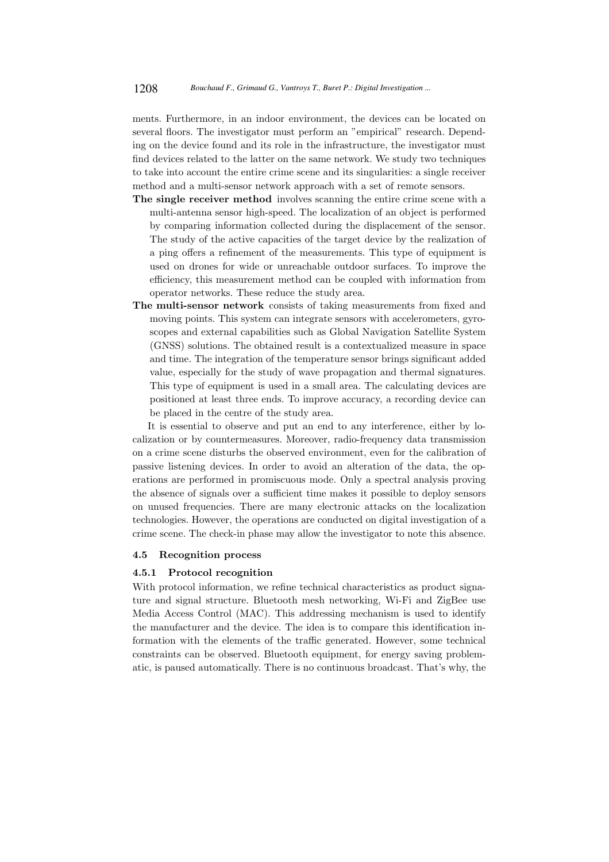ments. Furthermore, in an indoor environment, the devices can be located on several floors. The investigator must perform an "empirical" research. Depending on the device found and its role in the infrastructure, the investigator must find devices related to the latter on the same network. We study two techniques to take into account the entire crime scene and its singularities: a single receiver method and a multi-sensor network approach with a set of remote sensors.

- The single receiver method involves scanning the entire crime scene with a multi-antenna sensor high-speed. The localization of an object is performed by comparing information collected during the displacement of the sensor. The study of the active capacities of the target device by the realization of a ping offers a refinement of the measurements. This type of equipment is used on drones for wide or unreachable outdoor surfaces. To improve the efficiency, this measurement method can be coupled with information from operator networks. These reduce the study area.
- The multi-sensor network consists of taking measurements from fixed and moving points. This system can integrate sensors with accelerometers, gyroscopes and external capabilities such as Global Navigation Satellite System (GNSS) solutions. The obtained result is a contextualized measure in space and time. The integration of the temperature sensor brings significant added value, especially for the study of wave propagation and thermal signatures. This type of equipment is used in a small area. The calculating devices are positioned at least three ends. To improve accuracy, a recording device can be placed in the centre of the study area.

It is essential to observe and put an end to any interference, either by localization or by countermeasures. Moreover, radio-frequency data transmission on a crime scene disturbs the observed environment, even for the calibration of passive listening devices. In order to avoid an alteration of the data, the operations are performed in promiscuous mode. Only a spectral analysis proving the absence of signals over a sufficient time makes it possible to deploy sensors on unused frequencies. There are many electronic attacks on the localization technologies. However, the operations are conducted on digital investigation of a crime scene. The check-in phase may allow the investigator to note this absence.

## 4.5 Recognition process

#### 4.5.1 Protocol recognition

With protocol information, we refine technical characteristics as product signature and signal structure. Bluetooth mesh networking, Wi-Fi and ZigBee use Media Access Control (MAC). This addressing mechanism is used to identify the manufacturer and the device. The idea is to compare this identification information with the elements of the traffic generated. However, some technical constraints can be observed. Bluetooth equipment, for energy saving problematic, is paused automatically. There is no continuous broadcast. That's why, the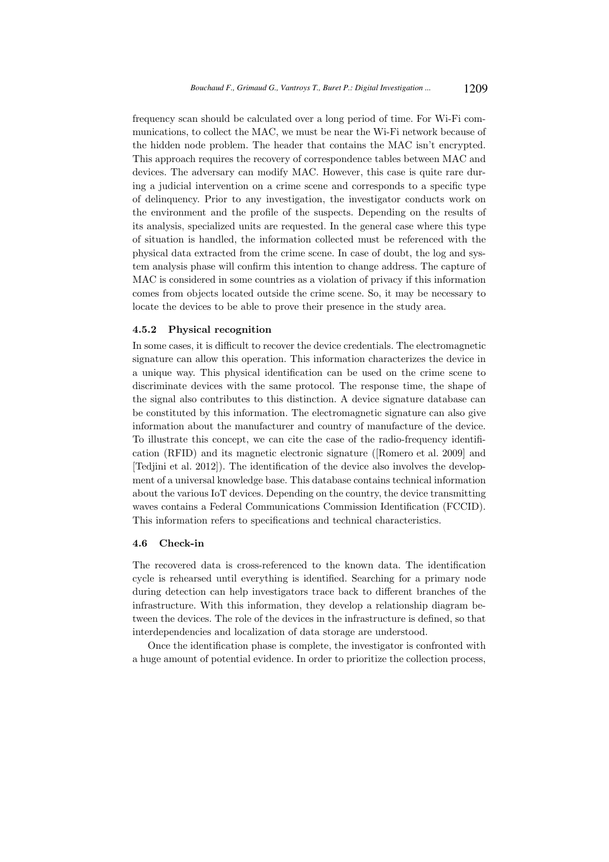frequency scan should be calculated over a long period of time. For Wi-Fi communications, to collect the MAC, we must be near the Wi-Fi network because of the hidden node problem. The header that contains the MAC isn't encrypted. This approach requires the recovery of correspondence tables between MAC and devices. The adversary can modify MAC. However, this case is quite rare during a judicial intervention on a crime scene and corresponds to a specific type of delinquency. Prior to any investigation, the investigator conducts work on the environment and the profile of the suspects. Depending on the results of its analysis, specialized units are requested. In the general case where this type of situation is handled, the information collected must be referenced with the physical data extracted from the crime scene. In case of doubt, the log and system analysis phase will confirm this intention to change address. The capture of MAC is considered in some countries as a violation of privacy if this information comes from objects located outside the crime scene. So, it may be necessary to locate the devices to be able to prove their presence in the study area.

## 4.5.2 Physical recognition

In some cases, it is difficult to recover the device credentials. The electromagnetic signature can allow this operation. This information characterizes the device in a unique way. This physical identification can be used on the crime scene to discriminate devices with the same protocol. The response time, the shape of the signal also contributes to this distinction. A device signature database can be constituted by this information. The electromagnetic signature can also give information about the manufacturer and country of manufacture of the device. To illustrate this concept, we can cite the case of the radio-frequency identification (RFID) and its magnetic electronic signature ([Romero et al. 2009] and [Tedjini et al. 2012]). The identification of the device also involves the development of a universal knowledge base. This database contains technical information about the various IoT devices. Depending on the country, the device transmitting waves contains a Federal Communications Commission Identification (FCCID). This information refers to specifications and technical characteristics.

### 4.6 Check-in

The recovered data is cross-referenced to the known data. The identification cycle is rehearsed until everything is identified. Searching for a primary node during detection can help investigators trace back to different branches of the infrastructure. With this information, they develop a relationship diagram between the devices. The role of the devices in the infrastructure is defined, so that interdependencies and localization of data storage are understood.

Once the identification phase is complete, the investigator is confronted with a huge amount of potential evidence. In order to prioritize the collection process,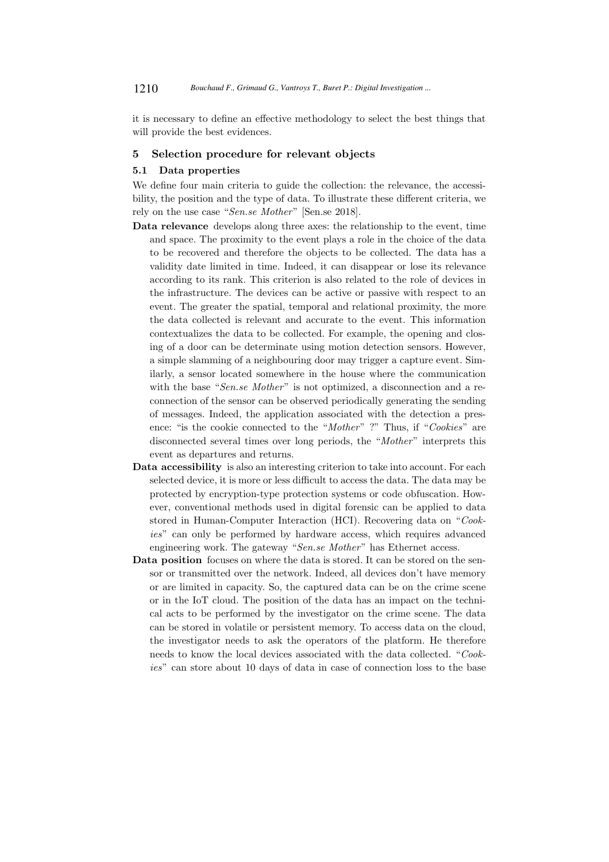it is necessary to define an effective methodology to select the best things that will provide the best evidences.

## 5 Selection procedure for relevant objects

## 5.1 Data properties

We define four main criteria to guide the collection: the relevance, the accessibility, the position and the type of data. To illustrate these different criteria, we rely on the use case "Sen.se Mother" [Sen.se 2018].

- Data relevance develops along three axes: the relationship to the event, time and space. The proximity to the event plays a role in the choice of the data to be recovered and therefore the objects to be collected. The data has a validity date limited in time. Indeed, it can disappear or lose its relevance according to its rank. This criterion is also related to the role of devices in the infrastructure. The devices can be active or passive with respect to an event. The greater the spatial, temporal and relational proximity, the more the data collected is relevant and accurate to the event. This information contextualizes the data to be collected. For example, the opening and closing of a door can be determinate using motion detection sensors. However, a simple slamming of a neighbouring door may trigger a capture event. Similarly, a sensor located somewhere in the house where the communication with the base "Sen.se Mother" is not optimized, a disconnection and a reconnection of the sensor can be observed periodically generating the sending of messages. Indeed, the application associated with the detection a presence: "is the cookie connected to the "Mother" ?" Thus, if "Cookies" are disconnected several times over long periods, the "Mother" interprets this event as departures and returns.
- Data accessibility is also an interesting criterion to take into account. For each selected device, it is more or less difficult to access the data. The data may be protected by encryption-type protection systems or code obfuscation. However, conventional methods used in digital forensic can be applied to data stored in Human-Computer Interaction (HCI). Recovering data on "Cookies" can only be performed by hardware access, which requires advanced engineering work. The gateway "Sen.se Mother" has Ethernet access.
- Data position focuses on where the data is stored. It can be stored on the sensor or transmitted over the network. Indeed, all devices don't have memory or are limited in capacity. So, the captured data can be on the crime scene or in the IoT cloud. The position of the data has an impact on the technical acts to be performed by the investigator on the crime scene. The data can be stored in volatile or persistent memory. To access data on the cloud, the investigator needs to ask the operators of the platform. He therefore needs to know the local devices associated with the data collected. "Cookies" can store about 10 days of data in case of connection loss to the base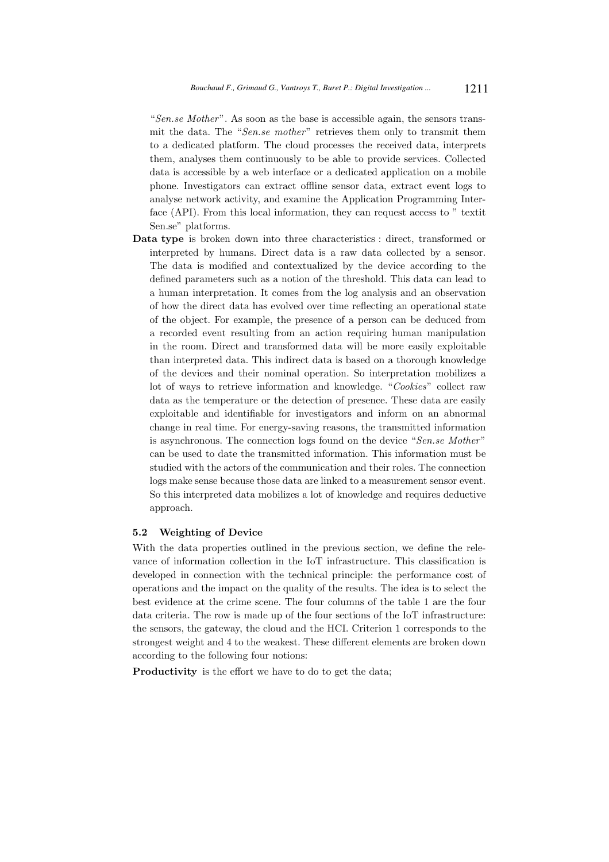"Sen.se Mother". As soon as the base is accessible again, the sensors transmit the data. The "Sen.se mother" retrieves them only to transmit them to a dedicated platform. The cloud processes the received data, interprets them, analyses them continuously to be able to provide services. Collected data is accessible by a web interface or a dedicated application on a mobile phone. Investigators can extract offline sensor data, extract event logs to analyse network activity, and examine the Application Programming Interface (API). From this local information, they can request access to " textit Sen.se" platforms.

Data type is broken down into three characteristics : direct, transformed or interpreted by humans. Direct data is a raw data collected by a sensor. The data is modified and contextualized by the device according to the defined parameters such as a notion of the threshold. This data can lead to a human interpretation. It comes from the log analysis and an observation of how the direct data has evolved over time reflecting an operational state of the object. For example, the presence of a person can be deduced from a recorded event resulting from an action requiring human manipulation in the room. Direct and transformed data will be more easily exploitable than interpreted data. This indirect data is based on a thorough knowledge of the devices and their nominal operation. So interpretation mobilizes a lot of ways to retrieve information and knowledge. "Cookies" collect raw data as the temperature or the detection of presence. These data are easily exploitable and identifiable for investigators and inform on an abnormal change in real time. For energy-saving reasons, the transmitted information is asynchronous. The connection logs found on the device "Sen.se Mother" can be used to date the transmitted information. This information must be studied with the actors of the communication and their roles. The connection logs make sense because those data are linked to a measurement sensor event. So this interpreted data mobilizes a lot of knowledge and requires deductive approach.

#### 5.2 Weighting of Device

With the data properties outlined in the previous section, we define the relevance of information collection in the IoT infrastructure. This classification is developed in connection with the technical principle: the performance cost of operations and the impact on the quality of the results. The idea is to select the best evidence at the crime scene. The four columns of the table 1 are the four data criteria. The row is made up of the four sections of the IoT infrastructure: the sensors, the gateway, the cloud and the HCI. Criterion 1 corresponds to the strongest weight and 4 to the weakest. These different elements are broken down according to the following four notions:

Productivity is the effort we have to do to get the data;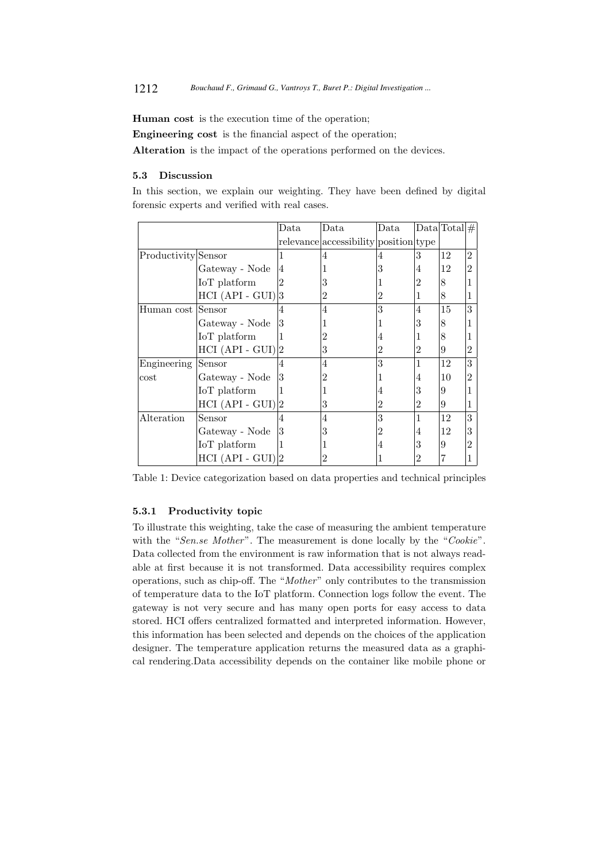Human cost is the execution time of the operation;

Engineering cost is the financial aspect of the operation;

Alteration is the impact of the operations performed on the devices.

## 5.3 Discussion

In this section, we explain our weighting. They have been defined by digital forensic experts and verified with real cases.

|                     |                     | Data           | Data                                  | Data           |   | $Data Total  \#$ |                |
|---------------------|---------------------|----------------|---------------------------------------|----------------|---|------------------|----------------|
|                     |                     |                | relevance accessibility position type |                |   |                  |                |
| Productivity Sensor |                     |                |                                       |                | 3 | 12               | $\overline{2}$ |
|                     | Gateway - Node      | 4              |                                       | 3              | 4 | 12               | $\overline{2}$ |
|                     | IoT platform        | $\overline{2}$ | 3                                     |                | 2 | 8                | 1              |
|                     | $HCI (API - GUI)$   |                | 2                                     | 2              |   | 8                | 1              |
| Human cost Sensor   |                     | 4              | 4                                     | 3              | 4 | 15               | 3              |
|                     | Gateway - Node      | 3              |                                       |                | 3 | 8                | 1              |
|                     | IoT platform        |                | 2                                     | 4              |   | 8                | 1              |
|                     | $HCI (API - GUI)$   | 12             | 3                                     | 2              | 2 | 9                | $\overline{2}$ |
| Engineering         | Sensor              | 4              | 4                                     | 3              |   | 12               | 3              |
| $\cos t$            | Gateway - Node      | 3              | 2                                     |                | 4 | 10               | $\overline{2}$ |
|                     | IoT platform        |                |                                       | 4              | 3 | 9                | 1              |
|                     | $HCI (API - GUI) 2$ |                | 3                                     | $\overline{2}$ | 2 | 9                | 1              |
| Alteration          | Sensor              | 4              | 4                                     | 3              | 1 | 12               | 3              |
|                     | Gateway - Node      | 3              | 3                                     | 2              | 4 | 12               | 3              |
|                     | IoT platform        |                |                                       | 4              | 3 | 9                | $\overline{2}$ |
|                     | $HCI (API - GUI) 2$ |                | 2                                     |                | 2 |                  |                |

Table 1: Device categorization based on data properties and technical principles

## 5.3.1 Productivity topic

To illustrate this weighting, take the case of measuring the ambient temperature with the "Sen.se Mother". The measurement is done locally by the "Cookie". Data collected from the environment is raw information that is not always readable at first because it is not transformed. Data accessibility requires complex operations, such as chip-off. The "Mother" only contributes to the transmission of temperature data to the IoT platform. Connection logs follow the event. The gateway is not very secure and has many open ports for easy access to data stored. HCI offers centralized formatted and interpreted information. However, this information has been selected and depends on the choices of the application designer. The temperature application returns the measured data as a graphical rendering.Data accessibility depends on the container like mobile phone or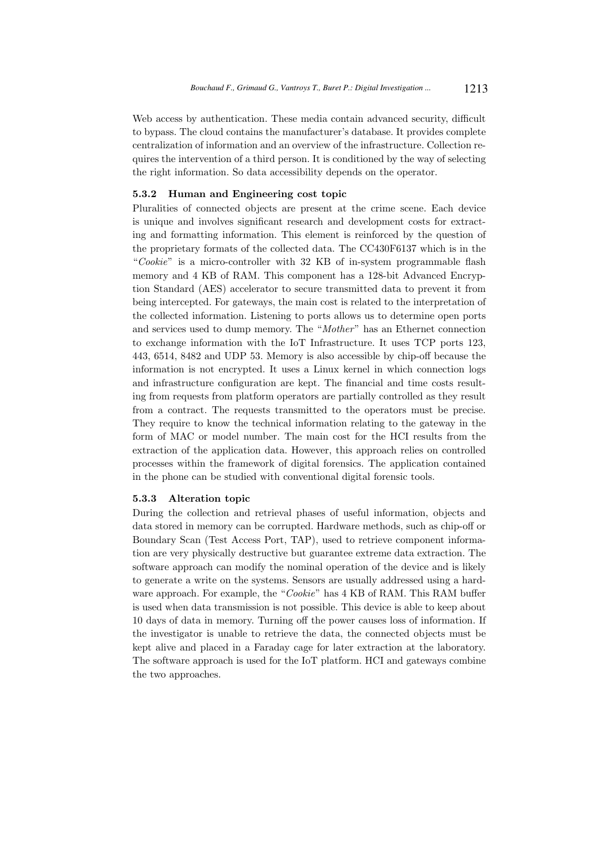Web access by authentication. These media contain advanced security, difficult to bypass. The cloud contains the manufacturer's database. It provides complete centralization of information and an overview of the infrastructure. Collection requires the intervention of a third person. It is conditioned by the way of selecting the right information. So data accessibility depends on the operator.

## 5.3.2 Human and Engineering cost topic

Pluralities of connected objects are present at the crime scene. Each device is unique and involves significant research and development costs for extracting and formatting information. This element is reinforced by the question of the proprietary formats of the collected data. The CC430F6137 which is in the "Cookie" is a micro-controller with 32 KB of in-system programmable flash memory and 4 KB of RAM. This component has a 128-bit Advanced Encryption Standard (AES) accelerator to secure transmitted data to prevent it from being intercepted. For gateways, the main cost is related to the interpretation of the collected information. Listening to ports allows us to determine open ports and services used to dump memory. The "Mother" has an Ethernet connection to exchange information with the IoT Infrastructure. It uses TCP ports 123, 443, 6514, 8482 and UDP 53. Memory is also accessible by chip-off because the information is not encrypted. It uses a Linux kernel in which connection logs and infrastructure configuration are kept. The financial and time costs resulting from requests from platform operators are partially controlled as they result from a contract. The requests transmitted to the operators must be precise. They require to know the technical information relating to the gateway in the form of MAC or model number. The main cost for the HCI results from the extraction of the application data. However, this approach relies on controlled processes within the framework of digital forensics. The application contained in the phone can be studied with conventional digital forensic tools.

#### 5.3.3 Alteration topic

During the collection and retrieval phases of useful information, objects and data stored in memory can be corrupted. Hardware methods, such as chip-off or Boundary Scan (Test Access Port, TAP), used to retrieve component information are very physically destructive but guarantee extreme data extraction. The software approach can modify the nominal operation of the device and is likely to generate a write on the systems. Sensors are usually addressed using a hardware approach. For example, the "Cookie" has 4 KB of RAM. This RAM buffer is used when data transmission is not possible. This device is able to keep about 10 days of data in memory. Turning off the power causes loss of information. If the investigator is unable to retrieve the data, the connected objects must be kept alive and placed in a Faraday cage for later extraction at the laboratory. The software approach is used for the IoT platform. HCI and gateways combine the two approaches.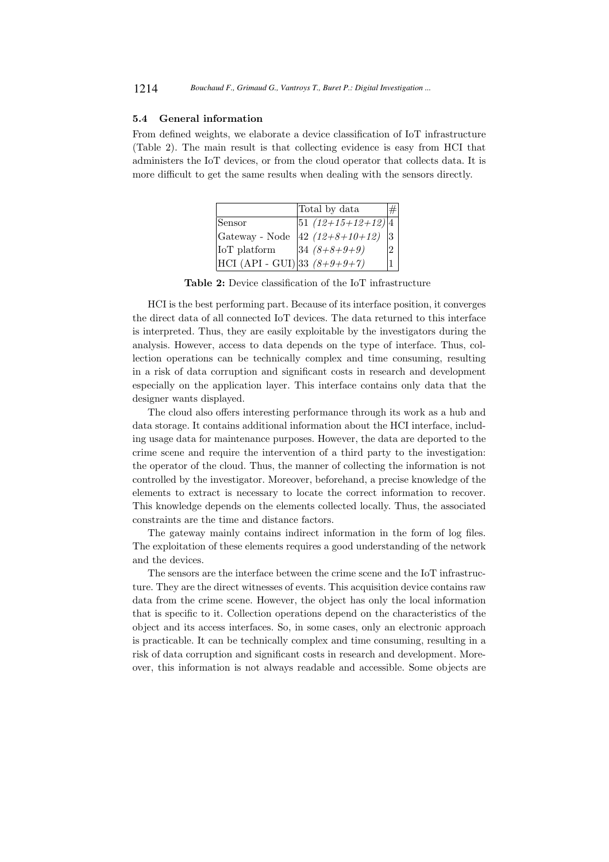#### 5.4 General information

From defined weights, we elaborate a device classification of IoT infrastructure (Table 2). The main result is that collecting evidence is easy from HCI that administers the IoT devices, or from the cloud operator that collects data. It is more difficult to get the same results when dealing with the sensors directly.

|                                                  | Total by data          |          |
|--------------------------------------------------|------------------------|----------|
| Sensor                                           | $ 51 (12+15+12+12) 4 $ |          |
| $\operatorname{Gateway}$ - $\operatorname{Node}$ | $ 42(12+8+10+12)$      | 13       |
| IoT platform                                     | $34(8+8+9+9)$          | $\Omega$ |
| HCI (API - GUI) 33 $(8+9+9+7)$                   |                        |          |

Table 2: Device classification of the IoT infrastructure

HCI is the best performing part. Because of its interface position, it converges the direct data of all connected IoT devices. The data returned to this interface is interpreted. Thus, they are easily exploitable by the investigators during the analysis. However, access to data depends on the type of interface. Thus, collection operations can be technically complex and time consuming, resulting in a risk of data corruption and significant costs in research and development especially on the application layer. This interface contains only data that the designer wants displayed.

The cloud also offers interesting performance through its work as a hub and data storage. It contains additional information about the HCI interface, including usage data for maintenance purposes. However, the data are deported to the crime scene and require the intervention of a third party to the investigation: the operator of the cloud. Thus, the manner of collecting the information is not controlled by the investigator. Moreover, beforehand, a precise knowledge of the elements to extract is necessary to locate the correct information to recover. This knowledge depends on the elements collected locally. Thus, the associated constraints are the time and distance factors.

The gateway mainly contains indirect information in the form of log files. The exploitation of these elements requires a good understanding of the network and the devices.

The sensors are the interface between the crime scene and the IoT infrastructure. They are the direct witnesses of events. This acquisition device contains raw data from the crime scene. However, the object has only the local information that is specific to it. Collection operations depend on the characteristics of the object and its access interfaces. So, in some cases, only an electronic approach is practicable. It can be technically complex and time consuming, resulting in a risk of data corruption and significant costs in research and development. Moreover, this information is not always readable and accessible. Some objects are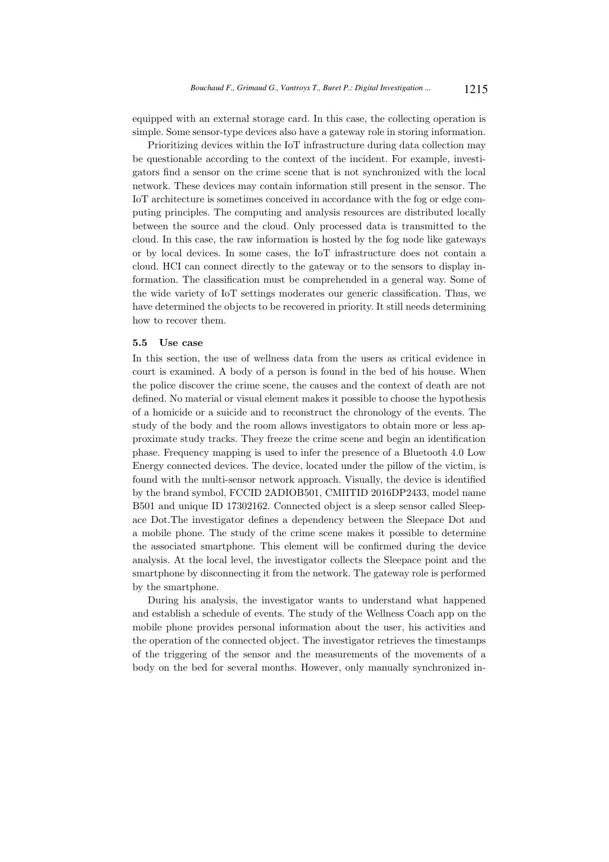equipped with an external storage card. In this case, the collecting operation is simple. Some sensor-type devices also have a gateway role in storing information.

Prioritizing devices within the IoT infrastructure during data collection may be questionable according to the context of the incident. For example, investigators find a sensor on the crime scene that is not synchronized with the local network. These devices may contain information still present in the sensor. The IoT architecture is sometimes conceived in accordance with the fog or edge computing principles. The computing and analysis resources are distributed locally between the source and the cloud. Only processed data is transmitted to the cloud. In this case, the raw information is hosted by the fog node like gateways or by local devices. In some cases, the IoT infrastructure does not contain a cloud. HCI can connect directly to the gateway or to the sensors to display information. The classification must be comprehended in a general way. Some of the wide variety of IoT settings moderates our generic classification. Thus, we have determined the objects to be recovered in priority. It still needs determining how to recover them.

### 5.5 Use case

In this section, the use of wellness data from the users as critical evidence in court is examined. A body of a person is found in the bed of his house. When the police discover the crime scene, the causes and the context of death are not defined. No material or visual element makes it possible to choose the hypothesis of a homicide or a suicide and to reconstruct the chronology of the events. The study of the body and the room allows investigators to obtain more or less approximate study tracks. They freeze the crime scene and begin an identification phase. Frequency mapping is used to infer the presence of a Bluetooth 4.0 Low Energy connected devices. The device, located under the pillow of the victim, is found with the multi-sensor network approach. Visually, the device is identified by the brand symbol, FCCID 2ADIOB501, CMIITID 2016DP2433, model name B501 and unique ID 17302162. Connected object is a sleep sensor called Sleepace Dot.The investigator defines a dependency between the Sleepace Dot and a mobile phone. The study of the crime scene makes it possible to determine the associated smartphone. This element will be confirmed during the device analysis. At the local level, the investigator collects the Sleepace point and the smartphone by disconnecting it from the network. The gateway role is performed by the smartphone.

During his analysis, the investigator wants to understand what happened and establish a schedule of events. The study of the Wellness Coach app on the mobile phone provides personal information about the user, his activities and the operation of the connected object. The investigator retrieves the timestamps of the triggering of the sensor and the measurements of the movements of a body on the bed for several months. However, only manually synchronized in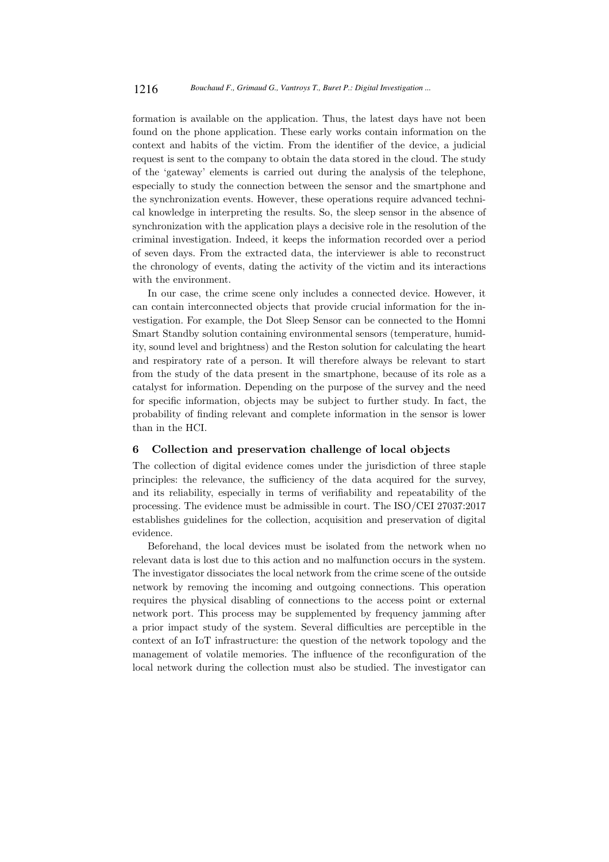formation is available on the application. Thus, the latest days have not been found on the phone application. These early works contain information on the context and habits of the victim. From the identifier of the device, a judicial request is sent to the company to obtain the data stored in the cloud. The study of the 'gateway' elements is carried out during the analysis of the telephone, especially to study the connection between the sensor and the smartphone and the synchronization events. However, these operations require advanced technical knowledge in interpreting the results. So, the sleep sensor in the absence of synchronization with the application plays a decisive role in the resolution of the criminal investigation. Indeed, it keeps the information recorded over a period of seven days. From the extracted data, the interviewer is able to reconstruct the chronology of events, dating the activity of the victim and its interactions with the environment.

In our case, the crime scene only includes a connected device. However, it can contain interconnected objects that provide crucial information for the investigation. For example, the Dot Sleep Sensor can be connected to the Homni Smart Standby solution containing environmental sensors (temperature, humidity, sound level and brightness) and the Reston solution for calculating the heart and respiratory rate of a person. It will therefore always be relevant to start from the study of the data present in the smartphone, because of its role as a catalyst for information. Depending on the purpose of the survey and the need for specific information, objects may be subject to further study. In fact, the probability of finding relevant and complete information in the sensor is lower than in the HCI.

#### 6 Collection and preservation challenge of local objects

The collection of digital evidence comes under the jurisdiction of three staple principles: the relevance, the sufficiency of the data acquired for the survey, and its reliability, especially in terms of verifiability and repeatability of the processing. The evidence must be admissible in court. The ISO/CEI 27037:2017 establishes guidelines for the collection, acquisition and preservation of digital evidence.

Beforehand, the local devices must be isolated from the network when no relevant data is lost due to this action and no malfunction occurs in the system. The investigator dissociates the local network from the crime scene of the outside network by removing the incoming and outgoing connections. This operation requires the physical disabling of connections to the access point or external network port. This process may be supplemented by frequency jamming after a prior impact study of the system. Several difficulties are perceptible in the context of an IoT infrastructure: the question of the network topology and the management of volatile memories. The influence of the reconfiguration of the local network during the collection must also be studied. The investigator can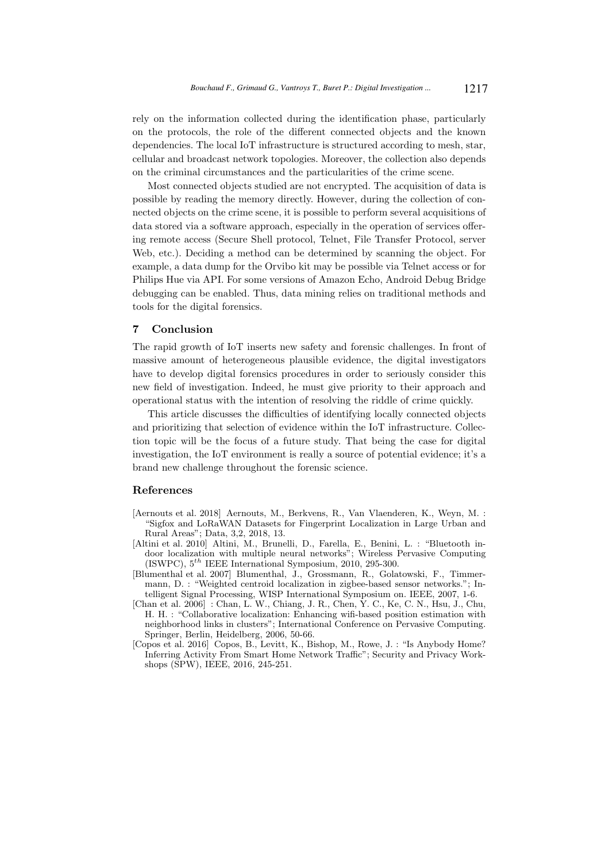rely on the information collected during the identification phase, particularly on the protocols, the role of the different connected objects and the known dependencies. The local IoT infrastructure is structured according to mesh, star, cellular and broadcast network topologies. Moreover, the collection also depends on the criminal circumstances and the particularities of the crime scene.

Most connected objects studied are not encrypted. The acquisition of data is possible by reading the memory directly. However, during the collection of connected objects on the crime scene, it is possible to perform several acquisitions of data stored via a software approach, especially in the operation of services offering remote access (Secure Shell protocol, Telnet, File Transfer Protocol, server Web, etc.). Deciding a method can be determined by scanning the object. For example, a data dump for the Orvibo kit may be possible via Telnet access or for Philips Hue via API. For some versions of Amazon Echo, Android Debug Bridge debugging can be enabled. Thus, data mining relies on traditional methods and tools for the digital forensics.

## 7 Conclusion

The rapid growth of IoT inserts new safety and forensic challenges. In front of massive amount of heterogeneous plausible evidence, the digital investigators have to develop digital forensics procedures in order to seriously consider this new field of investigation. Indeed, he must give priority to their approach and operational status with the intention of resolving the riddle of crime quickly.

This article discusses the difficulties of identifying locally connected objects and prioritizing that selection of evidence within the IoT infrastructure. Collection topic will be the focus of a future study. That being the case for digital investigation, the IoT environment is really a source of potential evidence; it's a brand new challenge throughout the forensic science.

### References

- [Aernouts et al. 2018] Aernouts, M., Berkvens, R., Van Vlaenderen, K., Weyn, M. : "Sigfox and LoRaWAN Datasets for Fingerprint Localization in Large Urban and Rural Areas"; Data, 3,2, 2018, 13.
- [Altini et al. 2010] Altini, M., Brunelli, D., Farella, E., Benini, L. : "Bluetooth indoor localization with multiple neural networks"; Wireless Pervasive Computing (ISWPC),  $5^{th}$  IEEE International Symposium, 2010, 295-300.
- [Blumenthal et al. 2007] Blumenthal, J., Grossmann, R., Golatowski, F., Timmermann, D. : "Weighted centroid localization in zigbee-based sensor networks."; Intelligent Signal Processing, WISP International Symposium on. IEEE, 2007, 1-6.
- [Chan et al. 2006] : Chan, L. W., Chiang, J. R., Chen, Y. C., Ke, C. N., Hsu, J., Chu, H. H. : "Collaborative localization: Enhancing wifi-based position estimation with neighborhood links in clusters"; International Conference on Pervasive Computing. Springer, Berlin, Heidelberg, 2006, 50-66.
- [Copos et al. 2016] Copos, B., Levitt, K., Bishop, M., Rowe, J. : "Is Anybody Home? Inferring Activity From Smart Home Network Traffic"; Security and Privacy Workshops (SPW), IEEE, 2016, 245-251.